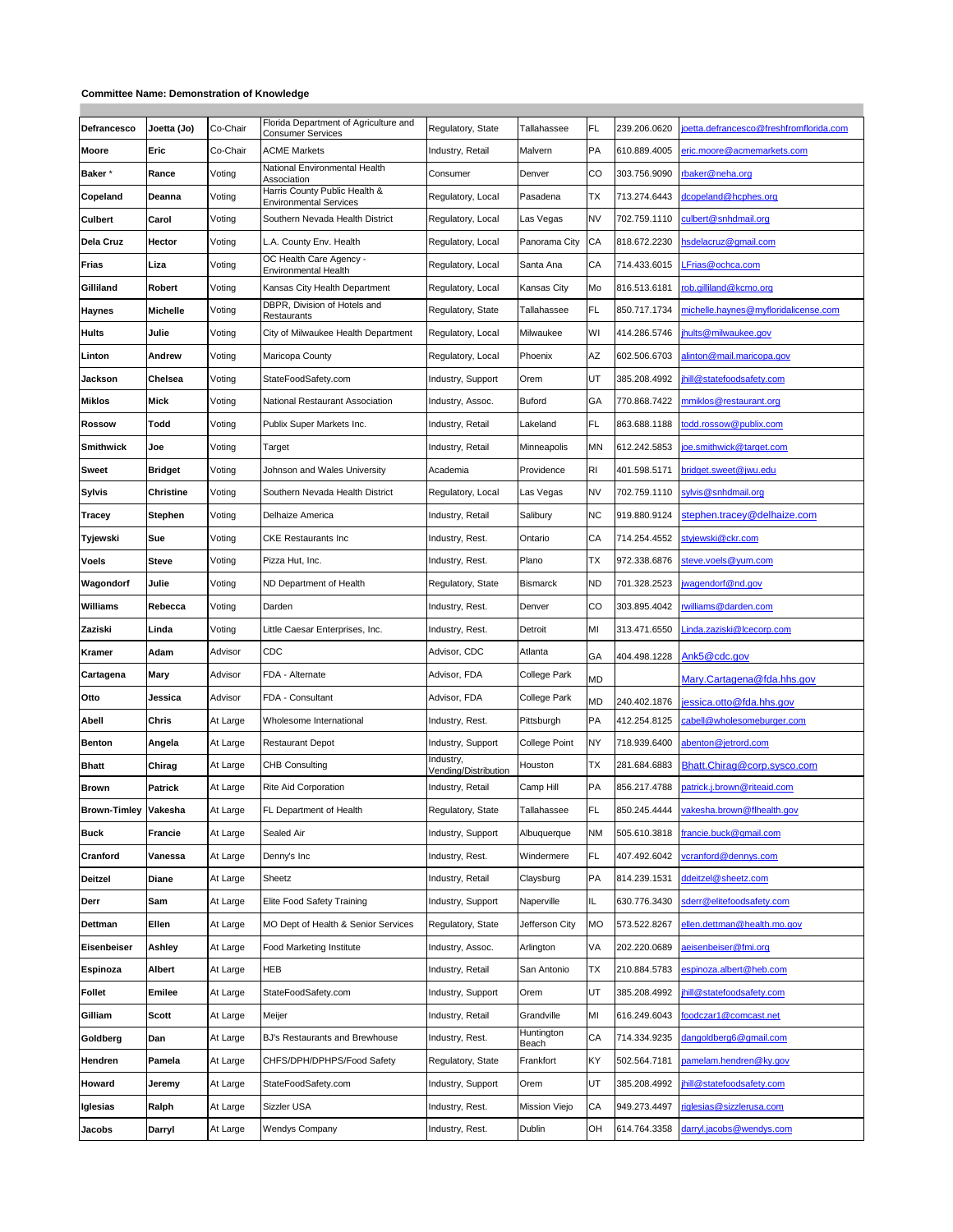## **Committee Name: Demonstration of Knowledge**

| Defrancesco         | Joetta (Jo)    | Co-Chair | Florida Department of Agriculture and<br><b>Consumer Services</b> | Regulatory, State                 | Tallahassee         | FL        | 239.206.0620 | oetta.defrancesco@freshfromflorida.com |
|---------------------|----------------|----------|-------------------------------------------------------------------|-----------------------------------|---------------------|-----------|--------------|----------------------------------------|
| Moore               | Eric           | Co-Chair | <b>ACME Markets</b>                                               | Industry, Retail                  | Malvern             | PA        | 610.889.4005 | eric.moore@acmemarkets.com             |
| Baker*              | Rance          | Voting   | National Environmental Health<br>Association                      | Consumer                          | Denver              | CO        | 303.756.9090 | rbaker@neha.org                        |
| Copeland            | Deanna         | Voting   | Harris County Public Health &<br><b>Environmental Services</b>    | Regulatory, Local                 | Pasadena            | ТX        | 713.274.6443 | dcopeland@hcphes.org                   |
| <b>Culbert</b>      | Carol          | Voting   | Southern Nevada Health District                                   | Regulatory, Local                 | Las Vegas           | <b>NV</b> | 702.759.1110 | culbert@snhdmail.org                   |
| Dela Cruz           | Hector         | Voting   | L.A. County Env. Health                                           | Regulatory, Local                 | Panorama City       | СA        | 818.672.2230 | hsdelacruz@gmail.com                   |
| Frias               | Liza           | Voting   | OC Health Care Agency -<br>Environmental Health                   | Regulatory, Local                 | Santa Ana           | СA        | 714.433.6015 | Frias@ochca.com                        |
| Gilliland           | Robert         | Voting   | Kansas City Health Department                                     | Regulatory, Local                 | Kansas City         | Mo        | 816.513.6181 | rob.gilliland@kcmo.org                 |
| <b>Haynes</b>       | Michelle       | Voting   | DBPR, Division of Hotels and<br>Restaurants                       | Regulatory, State                 | Tallahassee         | FL        | 850.717.1734 | michelle.haynes@myfloridalicense.com   |
| <b>Hults</b>        | Julie          | Voting   | City of Milwaukee Health Department                               | Regulatory, Local                 | Milwaukee           | WI        | 414.286.5746 | hults@milwaukee.gov                    |
| Linton              | Andrew         | Voting   | Maricopa County                                                   | Regulatory, Local                 | Phoenix             | AΖ        | 602.506.6703 | alinton@mail.maricopa.gov              |
| Jackson             | Chelsea        | Voting   | StateFoodSafety.com                                               | Industry, Support                 | Orem                | UT        | 385.208.4992 | hill@statefoodsafety.com               |
| <b>Miklos</b>       | <b>Mick</b>    | Voting   | National Restaurant Association                                   | Industry, Assoc.                  | Buford              | GA        | 770.868.7422 | mmiklos@restaurant.org                 |
| <b>Rossow</b>       | Todd           | Voting   | Publix Super Markets Inc.                                         | Industry, Retail                  | Lakeland            | FL        | 863.688.1188 | odd.rossow@publix.com                  |
| <b>Smithwick</b>    | Joe            | Voting   | Target                                                            | Industry, Retail                  | Minneapolis         | MN        | 612.242.5853 | oe.smithwick@target.com                |
| Sweet               | <b>Bridget</b> | Voting   | Johnson and Wales University                                      | Academia                          | Providence          | RI        | 401.598.5171 | oridget.sweet@jwu.edu                  |
| Sylvis              | Christine      | Voting   | Southern Nevada Health District                                   | Regulatory, Local                 | Las Vegas           | <b>NV</b> | 702.759.1110 | ylvis@snhdmail.org                     |
| Tracey              | Stephen        | Voting   | Delhaize America                                                  | Industry, Retail                  | Salibury            | <b>NC</b> | 919.880.9124 | stephen.tracev@delhaize.com            |
| Tyjewski            | Sue            | Voting   | <b>CKE Restaurants Inc.</b>                                       | Industry, Rest.                   | Ontario             | СA        | 714.254.4552 | stviewski@ckr.com                      |
| Voels               | Steve          | Voting   | Pizza Hut, Inc.                                                   | Industry, Rest.                   | Plano               | ТX        | 972.338.6876 | steve.voels@yum.com                    |
| Wagondorf           | Julie          | Voting   | ND Department of Health                                           | Regulatory, State                 | Bismarck            | <b>ND</b> | 701.328.2523 | wagendorf@nd.gov                       |
| Williams            | Rebecca        | Voting   | Darden                                                            | Industry, Rest.                   | Denver              | CO        | 303.895.4042 | williams@darden.com                    |
| Zaziski             | Linda          | Voting   | Little Caesar Enterprises, Inc.                                   | Industry, Rest.                   | Detroit             | MI        | 313.471.6550 | .inda.zaziski@lcecorp.com              |
| Kramer              | Adam           | Advisor  | CDC                                                               | Advisor, CDC                      | Atlanta             | GA        | 404.498.1228 | Ank5@cdc.gov                           |
| Cartagena           | Mary           | Advisor  | FDA - Alternate                                                   | Advisor, FDA                      | College Park        | <b>MD</b> |              | Mary.Cartagena@fda.hhs.gov             |
| Otto                | Jessica        | Advisor  | FDA - Consultant                                                  | Advisor, FDA                      | College Park        | MD        | 240.402.1876 | iessica.otto@fda.hhs.gov               |
| Abell               | Chris          | At Large | Wholesome International                                           | Industry, Rest.                   | Pittsburgh          | PA        | 412.254.8125 | cabell@wholesomeburger.com             |
| <b>Benton</b>       | Angela         | At Large | <b>Restaurant Depot</b>                                           | Industry, Support                 | College Point       | NY        | 718.939.6400 | abenton@jetrord.com                    |
| <b>Bhatt</b>        | Chirag         | At Large | CHB Consulting                                                    | Industry,<br>Vending/Distribution | Houston             | ТX        | 281.684.6883 | Bhatt.Chirag@corp.sysco.com            |
| <b>Brown</b>        | <b>Patrick</b> | At Large | Rite Aid Corporation                                              | Industry, Retail                  | Camp Hill           | PA        | 856.217.4788 | patrick.j.brown@riteaid.com            |
| <b>Brown-Timley</b> | Vakesha        | At Large | FL Department of Health                                           | Regulatory, State                 | Tallahassee         | FL        | 850.245.4444 | rakesha.brown@flhealth.gov             |
| <b>Buck</b>         | Francie        | At Large | Sealed Air                                                        | Industry, Support                 | Albuquerque         | ΝM        | 505.610.3818 | francie.buck@gmail.com                 |
| Cranford            | Vanessa        | At Large | Denny's Inc                                                       | Industry, Rest.                   | Windermere          | FL        | 407.492.6042 | cranford@dennys.com                    |
| <b>Deitzel</b>      | Diane          | At Large | Sheetz                                                            | Industry, Retail                  | Claysburg           | PA        | 814.239.1531 | ddeitzel@sheetz.com                    |
| Derr                | Sam            | At Large | Elite Food Safety Training                                        | Industry, Support                 | Naperville          | IL.       | 630.776.3430 | sderr@elitefoodsafety.com              |
| Dettman             | Ellen          | At Large | MO Dept of Health & Senior Services                               | Regulatory, State                 | Jefferson City      | <b>MO</b> | 573.522.8267 | ellen.dettman@health.mo.gov            |
| Eisenbeiser         | Ashley         | At Large | Food Marketing Institute                                          | Industry, Assoc.                  | Arlington           | VA        | 202.220.0689 | aeisenbeiser@fmi.org                   |
| Espinoza            | Albert         | At Large | <b>HEB</b>                                                        | Industry, Retail                  | San Antonio         | ТX        | 210.884.5783 | espinoza.albert@heb.com                |
| <b>Follet</b>       | Emilee         | At Large | StateFoodSafety.com                                               | Industry, Support                 | Orem                | UT        | 385.208.4992 | hill@statefoodsafety.com               |
| Gilliam             | Scott          | At Large | Meijer                                                            | Industry, Retail                  | Grandville          | MI        | 616.249.6043 | oodczar1@comcast.net                   |
| Goldberg            | Dan            | At Large | BJ's Restaurants and Brewhouse                                    | Industry, Rest.                   | Huntington<br>Beach | CA        | 714.334.9235 | dangoldberg6@gmail.com                 |
| Hendren             | Pamela         | At Large | CHFS/DPH/DPHPS/Food Safety                                        | Regulatory, State                 | Frankfort           | KY        | 502.564.7181 | bamelam.hendren@ky.gov                 |
| Howard              | Jeremy         | At Large | StateFoodSafety.com                                               | Industry, Support                 | Orem                | UT        | 385.208.4992 | hill@statefoodsafety.com               |
| Iglesias            | Ralph          | At Large | Sizzler USA                                                       | Industry, Rest.                   | Mission Viejo       | СA        | 949.273.4497 | iglesias@sizzlerusa.com                |
| Jacobs              | Darryl         | At Large | Wendys Company                                                    | Industry, Rest.                   | Dublin              | ОН        | 614.764.3358 | darryl.jacobs@wendys.com               |